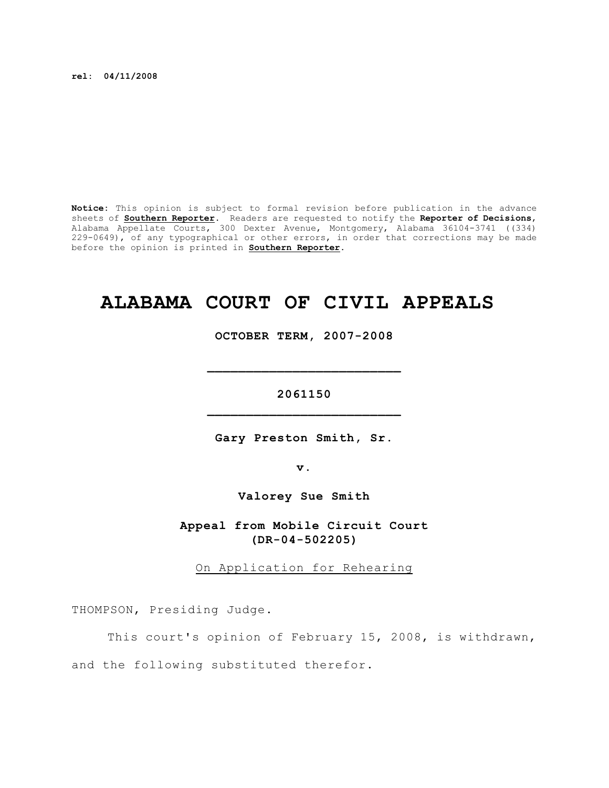**rel: 04/11/2008**

**Notice:** This opinion is subject to formal revision before publication in the advance sheets of **Southern Reporter**. Readers are requested to notify the **Reporter of Decisions**, Alabama Appellate Courts, 300 Dexter Avenue, Montgomery, Alabama 36104-3741 ((334) 229-0649), of any typographical or other errors, in order that corrections may be made before the opinion is printed in **Southern Reporter**.

## **ALABAMA COURT OF CIVIL APPEALS**

**OCTOBER TERM, 2007-2008**

**\_\_\_\_\_\_\_\_\_\_\_\_\_\_\_\_\_\_\_\_\_\_\_\_\_**

**2061150 \_\_\_\_\_\_\_\_\_\_\_\_\_\_\_\_\_\_\_\_\_\_\_\_\_**

**Gary Preston Smith, Sr.**

**v.**

**Valorey Sue Smith**

**Appeal from Mobile Circuit Court (DR-04-502205)**

On Application for Rehearing

THOMPSON, Presiding Judge.

This court's opinion of February 15, 2008, is withdrawn, and the following substituted therefor.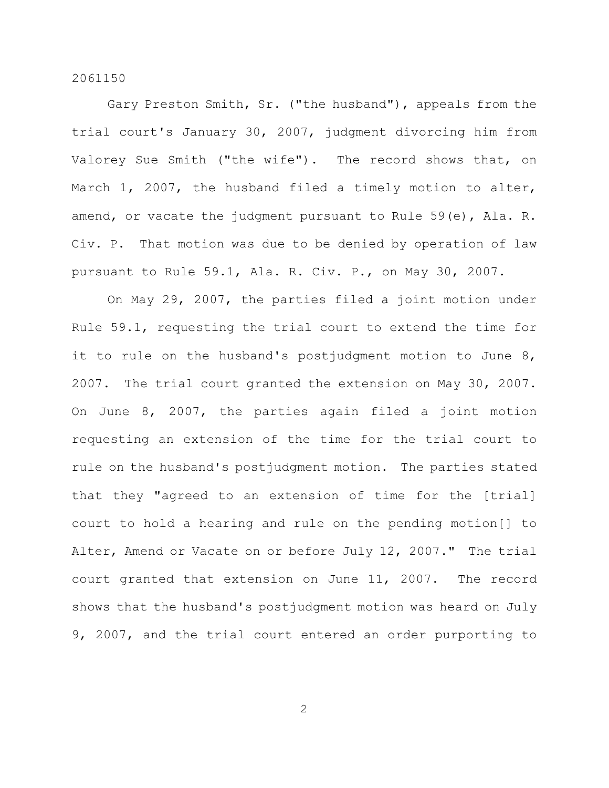Gary Preston Smith, Sr. ("the husband"), appeals from the trial court's January 30, 2007, judgment divorcing him from Valorey Sue Smith ("the wife"). The record shows that, on March 1, 2007, the husband filed a timely motion to alter, amend, or vacate the judgment pursuant to Rule 59(e), Ala. R. Civ. P. That motion was due to be denied by operation of law pursuant to Rule 59.1, Ala. R. Civ. P., on May 30, 2007.

On May 29, 2007, the parties filed a joint motion under Rule 59.1, requesting the trial court to extend the time for it to rule on the husband's postjudgment motion to June 8, 2007. The trial court granted the extension on May 30, 2007. On June 8, 2007, the parties again filed a joint motion requesting an extension of the time for the trial court to rule on the husband's postjudgment motion. The parties stated that they "agreed to an extension of time for the [trial] court to hold a hearing and rule on the pending motion[] to Alter, Amend or Vacate on or before July 12, 2007." The trial court granted that extension on June 11, 2007. The record shows that the husband's postjudgment motion was heard on July 9, 2007, and the trial court entered an order purporting to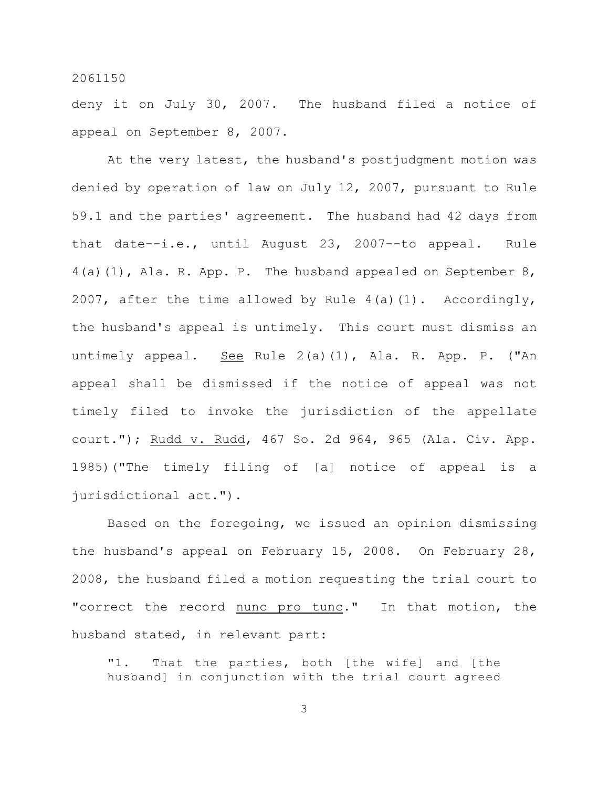deny it on July 30, 2007. The husband filed a notice of appeal on September 8, 2007.

At the very latest, the husband's postjudgment motion was denied by operation of law on July 12, 2007, pursuant to Rule 59.1 and the parties' agreement. The husband had 42 days from that date--i.e., until August 23, 2007--to appeal. Rule 4(a)(1), Ala. R. App. P. The husband appealed on September 8, 2007, after the time allowed by Rule  $4(a)(1)$ . Accordingly, the husband's appeal is untimely. This court must dismiss an untimely appeal. See Rule 2(a)(1), Ala. R. App. P. ("An appeal shall be dismissed if the notice of appeal was not timely filed to invoke the jurisdiction of the appellate court."); Rudd v. Rudd, 467 So. 2d 964, 965 (Ala. Civ. App. 1985)("The timely filing of [a] notice of appeal is a jurisdictional act.").

Based on the foregoing, we issued an opinion dismissing the husband's appeal on February 15, 2008. On February 28, 2008, the husband filed a motion requesting the trial court to "correct the record nunc pro tunc." In that motion, the husband stated, in relevant part:

"1. That the parties, both [the wife] and [the husband] in conjunction with the trial court agreed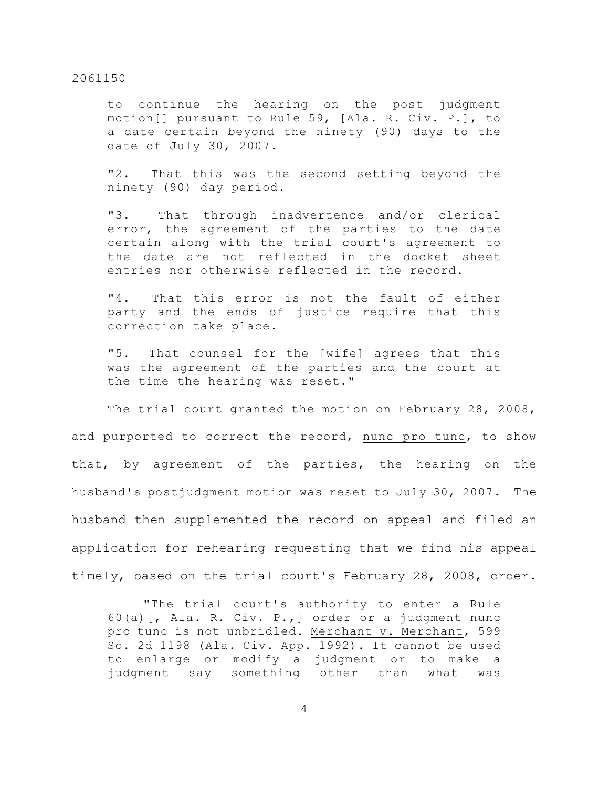to continue the hearing on the post judgment motion[] pursuant to Rule 59, [Ala. R. Civ. P.], to a date certain beyond the ninety (90) days to the date of July 30, 2007.

"2. That this was the second setting beyond the ninety (90) day period.

"3. That through inadvertence and/or clerical error, the agreement of the parties to the date certain along with the trial court's agreement to the date are not reflected in the docket sheet entries nor otherwise reflected in the record.

"4. That this error is not the fault of either party and the ends of justice require that this correction take place.

"5. That counsel for the [wife] agrees that this was the agreement of the parties and the court at the time the hearing was reset."

The trial court granted the motion on February 28, 2008, and purported to correct the record, nunc pro tunc, to show that, by agreement of the parties, the hearing on the husband's postjudgment motion was reset to July 30, 2007. The husband then supplemented the record on appeal and filed an application for rehearing requesting that we find his appeal timely, based on the trial court's February 28, 2008, order.

"The trial court's authority to enter a Rule 60(a)[, Ala. R. Civ. P.,] order or a judgment nunc pro tunc is not unbridled. Merchant v. Merchant, 599 So. 2d 1198 (Ala. Civ. App. 1992). It cannot be used to enlarge or modify a judgment or to make a judgment say something other than what was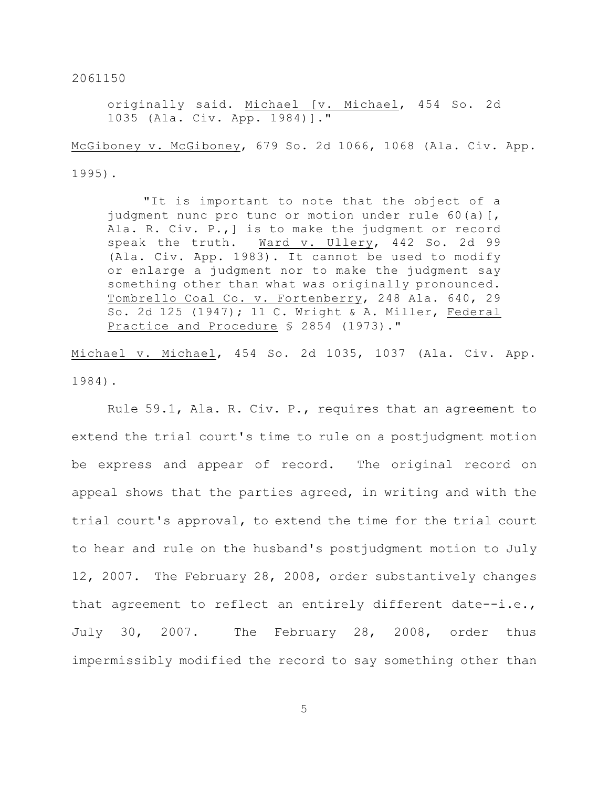originally said. Michael [v. Michael, 454 So. 2d 1035 (Ala. Civ. App. 1984)]."

McGiboney v. McGiboney, 679 So. 2d 1066, 1068 (Ala. Civ. App. 1995).

"It is important to note that the object of a judgment nunc pro tunc or motion under rule 60(a)[, Ala. R. Civ. P.,] is to make the judgment or record speak the truth. Ward v. Ullery, 442 So. 2d 99 (Ala. Civ. App. 1983). It cannot be used to modify or enlarge a judgment nor to make the judgment say something other than what was originally pronounced. Tombrello Coal Co. v. Fortenberry, 248 Ala. 640, 29 So. 2d 125 (1947); 11 C. Wright & A. Miller, Federal Practice and Procedure § 2854 (1973)."

Michael v. Michael, 454 So. 2d 1035, 1037 (Ala. Civ. App. 1984).

Rule 59.1, Ala. R. Civ. P., requires that an agreement to extend the trial court's time to rule on a postjudgment motion be express and appear of record. The original record on appeal shows that the parties agreed, in writing and with the trial court's approval, to extend the time for the trial court to hear and rule on the husband's postjudgment motion to July 12, 2007. The February 28, 2008, order substantively changes that agreement to reflect an entirely different date--i.e., July 30, 2007. The February 28, 2008, order thus impermissibly modified the record to say something other than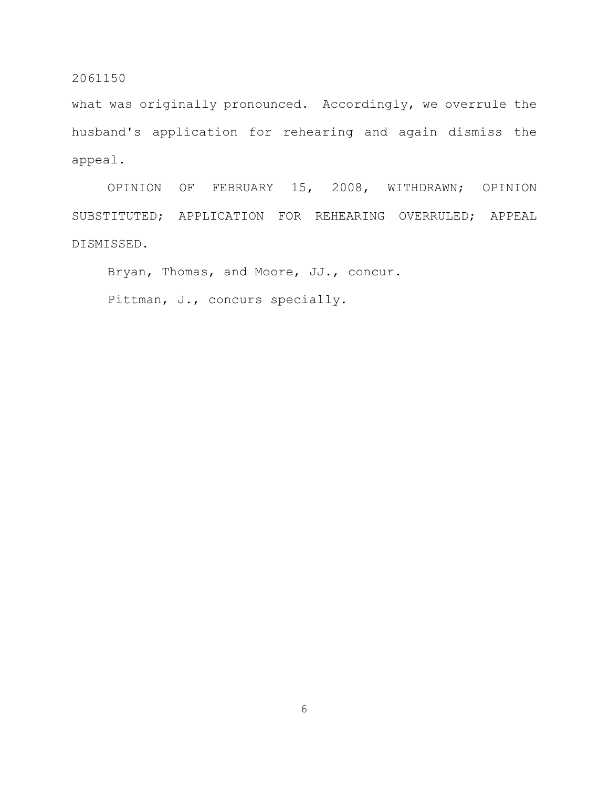what was originally pronounced. Accordingly, we overrule the husband's application for rehearing and again dismiss the appeal.

OPINION OF FEBRUARY 15, 2008, WITHDRAWN; OPINION SUBSTITUTED; APPLICATION FOR REHEARING OVERRULED; APPEAL DISMISSED.

Bryan, Thomas, and Moore, JJ., concur.

Pittman, J., concurs specially.